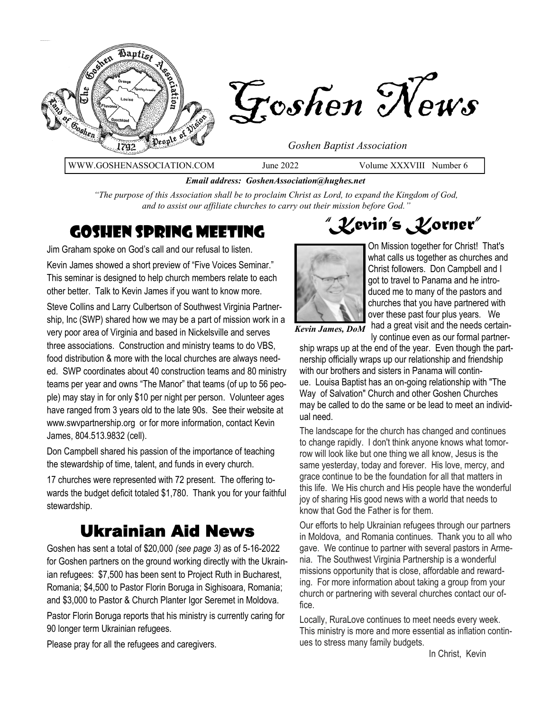

*Email address: GoshenAssociation@hughes.net*

*"The purpose of this Association shall be to proclaim Christ as Lord, to expand the Kingdom of God, and to assist our affiliate churches to carry out their mission before God."*

Jim Graham spoke on God's call and our refusal to listen. Kevin James showed a short preview of "Five Voices Seminar." This seminar is designed to help church members relate to each other better. Talk to Kevin James if you want to know more.

Steve Collins and Larry Culbertson of Southwest Virginia Partnership, Inc (SWP) shared how we may be a part of mission work in a very poor area of Virginia and based in Nickelsville and serves three associations. Construction and ministry teams to do VBS, food distribution & more with the local churches are always needed. SWP coordinates about 40 construction teams and 80 ministry teams per year and owns "The Manor" that teams (of up to 56 people) may stay in for only \$10 per night per person. Volunteer ages have ranged from 3 years old to the late 90s. See their website at www.swvpartnership.org or for more information, contact Kevin James, 804.513.9832 (cell).

Don Campbell shared his passion of the importance of teaching the stewardship of time, talent, and funds in every church.

17 churches were represented with 72 present. The offering towards the budget deficit totaled \$1,780. Thank you for your faithful stewardship.

## Ukrainian Aid News

Goshen has sent a total of \$20,000 *(see page 3)* as of 5-16-2022 for Goshen partners on the ground working directly with the Ukrainian refugees: \$7,500 has been sent to Project Ruth in Bucharest, Romania; \$4,500 to Pastor Florin Boruga in Sighisoara, Romania; and \$3,000 to Pastor & Church Planter Igor Seremet in Moldova.

Pastor Florin Boruga reports that his ministry is currently caring for 90 longer term Ukrainian refugees.

Please pray for all the refugees and caregivers.

**COSHEN SPRING MEETING WEET THE COSHEN SPRING MEETING** 



On Mission together for Christ! That's what calls us together as churches and Christ followers. Don Campbell and I got to travel to Panama and he introduced me to many of the pastors and churches that you have partnered with over these past four plus years. We

Kevin James, DoM had a great visit and the needs certainly continue even as our formal partner-

ship wraps up at the end of the year. Even though the partnership officially wraps up our relationship and friendship with our brothers and sisters in Panama will continue. Louisa Baptist has an on-going relationship with "The Way of Salvation" Church and other Goshen Churches may be called to do the same or be lead to meet an individual need.

The landscape for the church has changed and continues to change rapidly. I don't think anyone knows what tomorrow will look like but one thing we all know, Jesus is the same yesterday, today and forever. His love, mercy, and grace continue to be the foundation for all that matters in this life. We His church and His people have the wonderful joy of sharing His good news with a world that needs to know that God the Father is for them.

Our efforts to help Ukrainian refugees through our partners in Moldova, and Romania continues. Thank you to all who gave. We continue to partner with several pastors in Armenia. The Southwest Virginia Partnership is a wonderful missions opportunity that is close, affordable and rewarding. For more information about taking a group from your church or partnering with several churches contact our office.

Locally, RuraLove continues to meet needs every week. This ministry is more and more essential as inflation continues to stress many family budgets.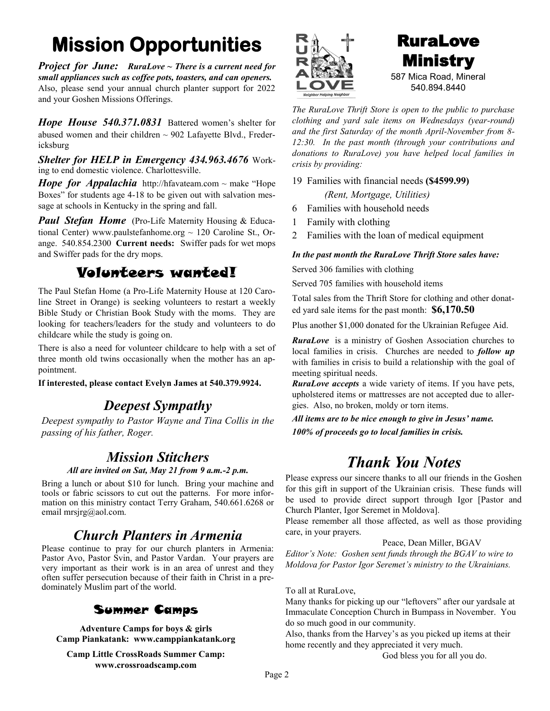## **Mission Opportunities**

*Project for June: RuraLove ~ There is a current need for small appliances such as coffee pots, toasters, and can openers.* Also, please send your annual church planter support for 2022 and your Goshen Missions Offerings.

*Hope House 540.371.0831* Battered women's shelter for abused women and their children  $\sim$  902 Lafayette Blvd., Fredericksburg

*Shelter for HELP in Emergency 434.963.4676* Working to end domestic violence. Charlottesville.

*Hope for Appalachia* http://hfavateam.com  $\sim$  make "Hope" Boxes" for students age 4-18 to be given out with salvation message at schools in Kentucky in the spring and fall.

*Paul Stefan Home* (Pro-Life Maternity Housing & Educational Center) www.paulstefanhome.org  $\sim$  120 Caroline St., Orange. 540.854.2300 **Current needs:** Swiffer pads for wet mops and Swiffer pads for the dry mops.

### Volunteers wanted!

The Paul Stefan Home (a Pro-Life Maternity House at 120 Caroline Street in Orange) is seeking volunteers to restart a weekly Bible Study or Christian Book Study with the moms. They are looking for teachers/leaders for the study and volunteers to do childcare while the study is going on.

There is also a need for volunteer childcare to help with a set of three month old twins occasionally when the mother has an appointment.

**If interested, please contact Evelyn James at 540.379.9924.**

### *Deepest Sympathy*

*Deepest sympathy to Pastor Wayne and Tina Collis in the passing of his father, Roger.*

### *Mission Stitchers*

#### *All are invited on Sat, May 21 from 9 a.m.-2 p.m.*

Bring a lunch or about \$10 for lunch. Bring your machine and tools or fabric scissors to cut out the patterns. For more information on this ministry contact Terry Graham, 540.661.6268 or email mrsjrg@aol.com.

### *Church Planters in Armenia*

Please continue to pray for our church planters in Armenia: Pastor Avo, Pastor Svin, and Pastor Vardan. Your prayers are very important as their work is in an area of unrest and they often suffer persecution because of their faith in Christ in a predominately Muslim part of the world.

#### Summer Camps

**Adventure Camps for boys & girls Camp Piankatank: www.camppiankatank.org**

**Camp Little CrossRoads Summer Camp: www.crossroadscamp.com**



### RuraLove Ministry 587 Mica Road, Mineral 540.894.8440

*The RuraLove Thrift Store is open to the public to purchase clothing and yard sale items on Wednesdays (year-round) and the first Saturday of the month April-November from 8- 12:30. In the past month (through your contributions and donations to RuraLove) you have helped local families in crisis by providing:*

19 Families with financial needs **(\$4599.99)** *(Rent, Mortgage, Utilities)*

- 6 Families with household needs
- 1 Family with clothing
- 2 Families with the loan of medical equipment

#### *In the past month the RuraLove Thrift Store sales have:*

Served 306 families with clothing

Served 705 families with household items

Total sales from the Thrift Store for clothing and other donated yard sale items for the past month: **\$6,170.50** 

Plus another \$1,000 donated for the Ukrainian Refugee Aid.

*RuraLove* is a ministry of Goshen Association churches to local families in crisis. Churches are needed to *follow up*  with families in crisis to build a relationship with the goal of meeting spiritual needs.

*RuraLove accepts* a wide variety of items. If you have pets, upholstered items or mattresses are not accepted due to allergies. Also, no broken, moldy or torn items.

*All items are to be nice enough to give in Jesus' name. 100% of proceeds go to local families in crisis.*

### *Thank You Notes*

Please express our sincere thanks to all our friends in the Goshen for this gift in support of the Ukrainian crisis. These funds will be used to provide direct support through Igor [Pastor and Church Planter, Igor Seremet in Moldova].

Please remember all those affected, as well as those providing care, in your prayers.

Peace, Dean Miller, BGAV

*Editor's Note: Goshen sent funds through the BGAV to wire to Moldova for Pastor Igor Seremet's ministry to the Ukrainians.* 

To all at RuraLove,

Many thanks for picking up our "leftovers" after our yardsale at Immaculate Conception Church in Bumpass in November. You do so much good in our community.

Also, thanks from the Harvey's as you picked up items at their home recently and they appreciated it very much.

God bless you for all you do.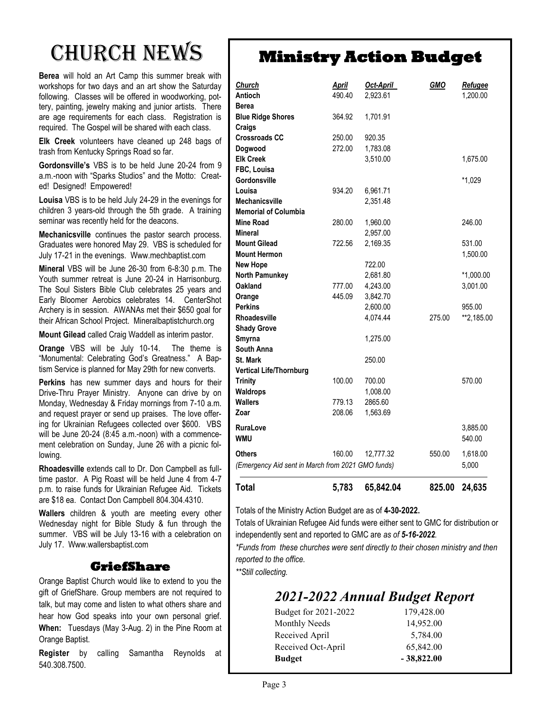# Church News

**Berea** will hold an Art Camp this summer break with workshops for two days and an art show the Saturday following. Classes will be offered in woodworking, pottery, painting, jewelry making and junior artists. There are age requirements for each class. Registration is required. The Gospel will be shared with each class.

**Elk Creek** volunteers have cleaned up 248 bags of trash from Kentucky Springs Road so far.

**Gordonsville's** VBS is to be held June 20-24 from 9 a.m.-noon with "Sparks Studios" and the Motto: Created! Designed! Empowered!

**Louisa** VBS is to be held July 24-29 in the evenings for children 3 years-old through the 5th grade. A training seminar was recently held for the deacons.

**Mechanicsville** continues the pastor search process. Graduates were honored May 29. VBS is scheduled for July 17-21 in the evenings. Www.mechbaptist.com

**Mineral** VBS will be June 26-30 from 6-8:30 p.m. The Youth summer retreat is June 20-24 in Harrisonburg. The Soul Sisters Bible Club celebrates 25 years and Early Bloomer Aerobics celebrates 14. CenterShot Archery is in session. AWANAs met their \$650 goal for their African School Project. Mineralbaptistchurch.org

**Mount Gilead** called Craig Waddell as interim pastor.

**Orange** VBS will be July 10-14. The theme is "Monumental: Celebrating God's Greatness." A Baptism Service is planned for May 29th for new converts.

**Perkins** has new summer days and hours for their Drive-Thru Prayer Ministry. Anyone can drive by on Monday, Wednesday & Friday mornings from 7-10 a.m. and request prayer or send up praises. The love offering for Ukrainian Refugees collected over \$600. VBS will be June 20-24 (8:45 a.m.-noon) with a commencement celebration on Sunday, June 26 with a picnic following.

**Rhoadesville** extends call to Dr. Don Campbell as fulltime pastor. A Pig Roast will be held June 4 from 4-7 p.m. to raise funds for Ukrainian Refugee Aid. Tickets are \$18 ea. Contact Don Campbell 804.304.4310.

**Wallers** children & youth are meeting every other Wednesday night for Bible Study & fun through the summer. VBS will be July 13-16 with a celebration on July 17. Www.wallersbaptist.com

#### **GriefShare**

Orange Baptist Church would like to extend to you the gift of GriefShare. Group members are not required to talk, but may come and listen to what others share and hear how God speaks into your own personal grief. **When:** Tuesdays (May 3-Aug. 2) in the Pine Room at Orange Baptist.

**Register** by calling Samantha Reynolds at 540.308.7500.

## **Ministry Action Budget**

| <b>Wallers</b><br>Zoar             | 779.13<br>208.06 | 2865.60<br>1,563.69 |            |                |
|------------------------------------|------------------|---------------------|------------|----------------|
|                                    |                  |                     |            |                |
| <b>Waldrops</b>                    |                  | 1,008.00            |            |                |
| <b>Trinity</b>                     | 100.00           | 700.00              |            | 570.00         |
| <b>Vertical Life/Thornburg</b>     |                  |                     |            |                |
| <b>St. Mark</b>                    |                  | 250.00              |            |                |
| South Anna                         |                  |                     |            |                |
| Smyrna                             |                  | 1,275.00            |            |                |
| <b>Shady Grove</b>                 |                  |                     |            |                |
| <b>Rhoadesville</b>                |                  | 4,074.44            | 275.00     | **2,185.00     |
| <b>Perkins</b>                     |                  | 2,600.00            |            | 955.00         |
| Orange                             | 445.09           | 3,842.70            |            |                |
| Oakland                            | 777.00           | 4,243.00            |            | 3,001.00       |
| <b>North Pamunkey</b>              |                  | 2,681.80            |            | $*1,000.00$    |
| <b>New Hope</b>                    |                  | 722.00              |            |                |
| <b>Mount Hermon</b>                |                  |                     |            | 1,500.00       |
| <b>Mount Gilead</b>                | 722.56           | 2,169.35            |            | 531.00         |
| Mineral                            |                  | 2,957.00            |            |                |
| <b>Mine Road</b>                   | 280.00           | 1,960.00            |            | 246.00         |
| <b>Memorial of Columbia</b>        |                  |                     |            |                |
| <b>Mechanicsville</b>              |                  | 2,351.48            |            |                |
| Louisa                             | 934.20           | 6,961.71            |            |                |
| Gordonsville                       |                  |                     |            | $*1,029$       |
| FBC, Louisa                        |                  |                     |            |                |
| <b>Elk Creek</b>                   |                  | 3,510.00            |            | 1,675.00       |
| Dogwood                            | 272.00           | 1,783.08            |            |                |
| <b>Crossroads CC</b>               | 250.00           | 920.35              |            |                |
| <b>Blue Ridge Shores</b><br>Craigs | 364.92           | 1,701.91            |            |                |
| Berea                              |                  |                     |            |                |
|                                    | 490.40           | 2,923.61            |            | 1,200.00       |
| Antioch                            | <b>April</b>     | Oct-April           | <b>GMO</b> | <b>Refugee</b> |

Totals of the Ministry Action Budget are as of **4-30-2022.**

Totals of Ukrainian Refugee Aid funds were either sent to GMC for distribution or independently sent and reported to GMC are *as of 5-16-2022.* 

*\*Funds from these churches were sent directly to their chosen ministry and then reported to the office.* 

*\*\*Still collecting.*

### *2021-2022 Annual Budget Report*

| <b>Budget</b>        | $-38,822.00$ |
|----------------------|--------------|
| Received Oct-April   | 65,842.00    |
| Received April       | 5,784.00     |
| <b>Monthly Needs</b> | 14,952.00    |
| Budget for 2021-2022 | 179,428.00   |